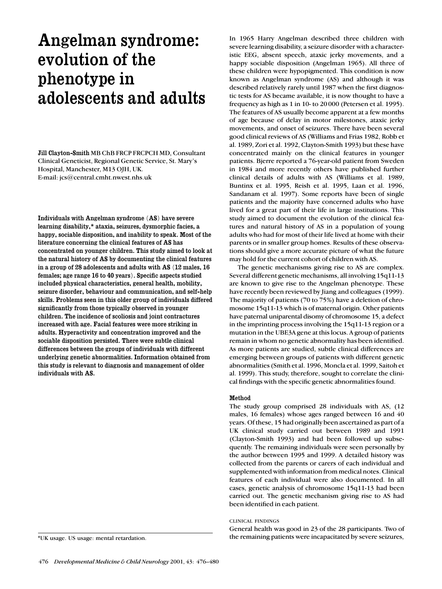# Angelman syndrome: evolution of the phenotype in adolescents and adults

Jill Clayton-Smith MB ChB FRCP FRCPCH MD, Consultant Clinical Geneticist, Regional Genetic Service, St. Mary's Hospital, Manchester, M13 OJH, UK. E-mail: jcs@central.cmht.nwest.nhs.uk

Individuals with Angelman syndrome (AS) have severe learning disability,\* ataxia, seizures, dysmorphic facies, a happy, sociable disposition, and inability to speak. Most of the literature concerning the clinical features of AS has concentrated on younger children. This study aimed to look at the natural history of AS by documenting the clinical features in a group of 28 adolescents and adults with AS (12 males, 16 females; age range 16 to 40 years). Specific aspects studied included physical characteristics, general health, mobility, seizure disorder, behaviour and communication, and self-help skills. Problems seen in this older group of individuals differed significantly from those typically observed in younger children. The incidence of scoliosis and joint contractures increased with age. Facial features were more striking in adults. Hyperactivity and concentration improved and the sociable disposition persisted. There were subtle clinical differences between the groups of individuals with different underlying genetic abnormalities. Information obtained from this study is relevant to diagnosis and management of older individuals with AS.

\*UK usage. US usage: mental retardation.

In 1965 Harry Angelman described three children with severe learning disability, a seizure disorder with a characteristic EEG, absent speech, ataxic jerky movements, and a happy sociable disposition (Angelman 1965). All three of these children were hypopigmented. This condition is now known as Angelman syndrome (AS) and although it was described relatively rarely until 1987 when the first diagnostic tests for AS became available, it is now thought to have a frequency as high as 1 in 10- to 20 000 (Petersen et al. 1995). The features of AS usually become apparent at a few months of age because of delay in motor milestones, ataxic jerky movements, and onset of seizures. There have been several good clinical reviews of AS (Williams and Frias 1982, Robb et al. 1989, Zori et al. 1992, Clayton-Smith 1993) but these have concentrated mainly on the clinical features in younger patients. Bjerre reported a 76-year-old patient from Sweden in 1984 and more recently others have published further clinical details of adults with AS (Williams et al. 1989, Buntinx et al. 1995, Reish et al. 1995, Laan et al. 1996, Sandanam et al. 1997). Some reports have been of single patients and the majority have concerned adults who have lived for a great part of their life in large institutions. This study aimed to document the evolution of the clinical features and natural history of AS in a population of young adults who had for most of their life lived at home with their parents or in smaller group homes. Results of these observations should give a more accurate picture of what the future may hold for the current cohort of children with AS.

The genetic mechanisms giving rise to AS are complex. Several different genetic mechanisms, all involving 15q11-13 are known to give rise to the Angelman phenotype. These have recently been reviewed by Jiang and colleagues (1999). The majority of patients (70 to 75%) have a deletion of chromosome 15q11-13 which is of maternal origin. Other patients have paternal uniparental disomy of chromosome 15, a defect in the imprinting process involving the 15q11-13 region or a mutation in the UBE3A gene at this locus. A group of patients remain in whom no genetic abnormality has been identified. As more patients are studied, subtle clinical differences are emerging between groups of patients with different genetic abnormalities (Smith et al. 1996, Moncla et al. 1999, Saitoh et al. 1999). This study, therefore, sought to correlate the clinical findings with the specific genetic abnormalities found.

### Method

The study group comprised 28 individuals with AS, (12 males, 16 females) whose ages ranged between 16 and 40 years. Of these, 15 had originally been ascertained as part of a UK clinical study carried out between 1989 and 1991 (Clayton-Smith 1993) and had been followed up subsequently. The remaining individuals were seen personally by the author between 1995 and 1999. A detailed history was collected from the parents or carers of each individual and supplemented with information from medical notes. Clinical features of each individual were also documented. In all cases, genetic analysis of chromosome 15q11-13 had been carried out. The genetic mechanism giving rise to AS had been identified in each patient.

## CLINICAL FINDINGS

General health was good in 23 of the 28 participants. Two of the remaining patients were incapacitated by severe seizures,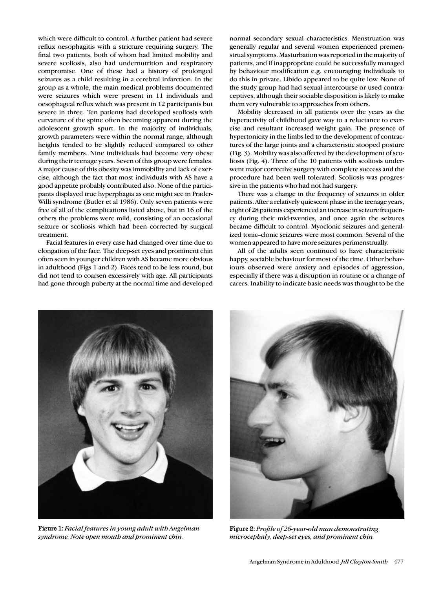which were difficult to control. A further patient had severe reflux oesophagitis with a stricture requiring surgery. The final two patients, both of whom had limited mobility and severe scoliosis, also had undernutrition and respiratory compromise. One of these had a history of prolonged seizures as a child resulting in a cerebral infarction. In the group as a whole, the main medical problems documented were seizures which were present in 11 individuals and oesophageal reflux which was present in 12 participants but severe in three. Ten patients had developed scoliosis with curvature of the spine often becoming apparent during the adolescent growth spurt. In the majority of individuals, growth parameters were within the normal range, although heights tended to be slightly reduced compared to other family members. Nine individuals had become very obese during their teenage years. Seven of this group were females. A major cause of this obesity was immobility and lack of exercise, although the fact that most individuals with AS have a good appetite probably contributed also. None of the participants displayed true hyperphagia as one might see in Prader-Willi syndrome (Butler et al 1986). Only seven patients were free of all of the complications listed above, but in 16 of the others the problems were mild, consisting of an occasional seizure or scoliosis which had been corrected by surgical treatment.

Facial features in every case had changed over time due to elongation of the face. The deep-set eyes and prominent chin often seen in younger children with AS became more obvious in adulthood (Figs 1 and 2). Faces tend to be less round, but did not tend to coarsen excessively with age. All participants had gone through puberty at the normal time and developed normal secondary sexual characteristics. Menstruation was generally regular and several women experienced premenstrual symptoms. Masturbation was reported in the majority of patients, and if inappropriate could be successfully managed by behaviour modification e.g. encouraging individuals to do this in private. Libido appeared to be quite low. None of the study group had had sexual intercourse or used contraceptives, although their sociable disposition is likely to make them very vulnerable to approaches from others.

Mobility decreased in all patients over the years as the hyperactivity of childhood gave way to a reluctance to exercise and resultant increased weight gain. The presence of hypertonicity in the limbs led to the development of contractures of the large joints and a characteristic stooped posture (Fig. 3). Mobility was also affected by the development of scoliosis (Fig. 4). Three of the 10 patients with scoliosis underwent major corrective surgery with complete success and the procedure had been well tolerated. Scoliosis was progressive in the patients who had not had surgery.

There was a change in the frequency of seizures in older patients. After a relatively quiescent phase in the teenage years, eight of 28 patients experienced an increase in seizure frequency during their mid-twenties, and once again the seizures became difficult to control. Myoclonic seizures and generalized tonic–clonic seizures were most common. Several of the women appeared to have more seizures perimenstrually.

All of the adults seen continued to have characteristic happy, sociable behaviour for most of the time. Other behaviours observed were anxiety and episodes of aggression, especially if there was a disruption in routine or a change of carers. Inability to indicate basic needs was thought to be the



Figure 1: *Facial features in young adult with Angelman syndrome. Note open mouth and prominent chin.*



Figure 2: *Profile of 26-year-old man demonstrating microcephaly, deep-set eyes, and prominent chin.*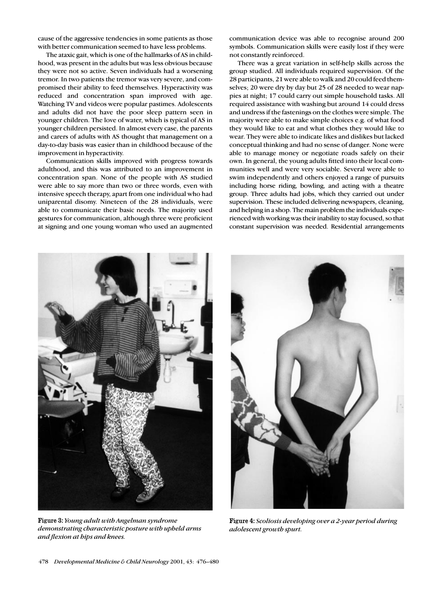cause of the aggressive tendencies in some patients as those with better communication seemed to have less problems.

The ataxic gait, which is one of the hallmarks of AS in childhood, was present in the adults but was less obvious because they were not so active. Seven individuals had a worsening tremor. In two patients the tremor was very severe, and compromised their ability to feed themselves. Hyperactivity was reduced and concentration span improved with age. Watching TV and videos were popular pastimes. Adolescents and adults did not have the poor sleep pattern seen in younger children. The love of water, which is typical of AS in younger children persisted. In almost every case, the parents and carers of adults with AS thought that management on a day-to-day basis was easier than in childhood because of the improvement in hyperactivity.

Communication skills improved with progress towards adulthood, and this was attributed to an improvement in concentration span. None of the people with AS studied were able to say more than two or three words, even with intensive speech therapy, apart from one individual who had uniparental disomy. Nineteen of the 28 individuals, were able to communicate their basic needs. The majority used gestures for communication, although three were proficient at signing and one young woman who used an augmented communication device was able to recognise around 200 symbols. Communication skills were easily lost if they were not constantly reinforced.

There was a great variation in self-help skills across the group studied. All individuals required supervision. Of the 28 participants, 21 were able to walk and 20 could feed themselves; 20 were dry by day but 25 of 28 needed to wear nappies at night; 17 could carry out simple household tasks. All required assistance with washing but around 14 could dress and undress if the fastenings on the clothes were simple. The majority were able to make simple choices e.g. of what food they would like to eat and what clothes they would like to wear. They were able to indicate likes and dislikes but lacked conceptual thinking and had no sense of danger. None were able to manage money or negotiate roads safely on their own. In general, the young adults fitted into their local communities well and were very sociable. Several were able to swim independently and others enjoyed a range of pursuits including horse riding, bowling, and acting with a theatre group. Three adults had jobs, which they carried out under supervision. These included delivering newspapers, cleaning, and helping in a shop. The main problem the individuals experienced with working was their inability to stay focused, so that constant supervision was needed. Residential arrangements



Figure 3: *Young adult with Angelman syndrome demonstrating characteristic posture with upheld arms and flexion at hips and knees.*



Figure 4: *Scoliosis developing over a 2-year period during adolescent growth spurt.*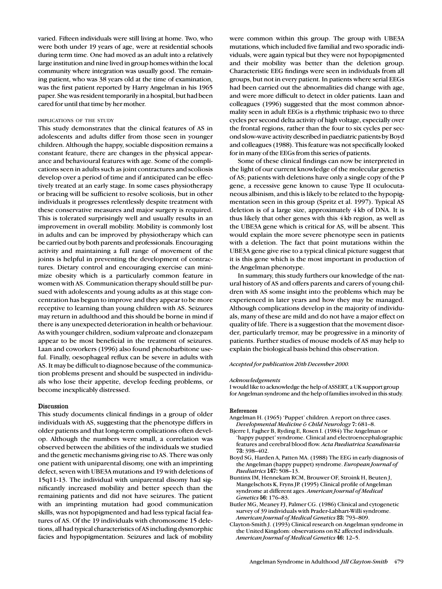varied. Fifteen individuals were still living at home. Two, who were both under 19 years of age, were at residential schools during term time. One had moved as an adult into a relatively large institution and nine lived in group homes within the local community where integration was usually good. The remaining patient, who was 38 years old at the time of examination, was the first patient reported by Harry Angelman in his 1965 paper. She was resident temporarily in a hospital, but had been cared for until that time by her mother.

## IMPLICATIONS OF THE STUDY

This study demonstrates that the clinical features of AS in adolescents and adults differ from those seen in younger children. Although the happy, sociable disposition remains a constant feature, there are changes in the physical appearance and behavioural features with age. Some of the complications seen in adults such as joint contractures and scoliosis develop over a period of time and if anticipated can be effectively treated at an early stage. In some cases physiotherapy or bracing will be sufficient to resolve scoliosis, but in other individuals it progresses relentlessly despite treatment with these conservative measures and major surgery is required. This is tolerated surprisingly well and usually results in an improvement in overall mobility. Mobility is commonly lost in adults and can be improved by physiotherapy which can be carried out by both parents and professionals. Encouraging activity and maintaining a full range of movement of the joints is helpful in preventing the development of contractures. Dietary control and encouraging exercise can minimize obesity which is a particularly common feature in women with AS. Communication therapy should still be pursued with adolescents and young adults as at this stage concentration has begun to improve and they appear to be more receptive to learning than young children with AS. Seizures may return in adulthood and this should be borne in mind if there is any unexpected deterioration in health or behaviour. As with younger children, sodium valproate and clonazepam appear to be most beneficial in the treatment of seizures. Laan and coworkers (1996) also found phenobarbitone useful. Finally, oesophageal reflux can be severe in adults with AS. It may be difficult to diagnose because of the communication problems present and should be suspected in individuals who lose their appetite, develop feeding problems, or become inexplicably distressed.

#### Discussion

This study documents clinical findings in a group of older individuals with AS, suggesting that the phenotype differs in older patients and that long-term complications often develop. Although the numbers were small, a correlation was observed between the abilities of the individuals we studied and the genetic mechanisms giving rise to AS. There was only one patient with uniparental disomy, one with an imprinting defect, seven with UBE3A mutations and 19 with deletions of 15q11-13. The individual with uniparental disomy had significantly increased mobility and better speech than the remaining patients and did not have seizures. The patient with an imprinting mutation had good communication skills, was not hypopigmented and had less typical facial features of AS. Of the 19 individuals with chromosome 15 deletions, all had typical characteristics of AS including dysmorphic facies and hypopigmentation. Seizures and lack of mobility

were common within this group. The group with UBE3A mutations, which included five familial and two sporadic individuals, were again typical but they were not hypopigmented and their mobility was better than the deletion group. Characteristic EEG findings were seen in individuals from all groups, but not in every patient. In patients where serial EEGs had been carried out the abnormalities did change with age, and were more difficult to detect in older patients. Laan and colleagues (1996) suggested that the most common abnormality seen in adult EEGs is a rhythmic triphasic two to three cycles per second delta activity of high voltage, especially over the frontal regions, rather than the four to six cycles per second slow-wave activity described in paediatric patients by Boyd and colleagues (1988). This feature was not specifically looked for in many of the EEGs from this series of patients.

Some of these clinical findings can now be interpreted in the light of our current knowledge of the molecular genetics of AS; patients with deletions have only a single copy of the P gene, a recessive gene known to cause Type II oculocutaneous albinism, and this is likely to be related to the hypopigmentation seen in this group (Spritz et al. 1997). Typical AS deletion is of a large size, approximately 4 kb of DNA. It is thus likely that other genes with this 4 kb region, as well as the UBE3A gene which is critical for AS, will be absent. This would explain the more severe phenotype seen in patients with a deletion. The fact that point mutations within the UBE3A gene give rise to a typical clinical picture suggest that it is this gene which is the most important in production of the Angelman phenotype.

In summary, this study furthers our knowledge of the natural history of AS and offers parents and carers of young children with AS some insight into the problems which may be experienced in later years and how they may be managed. Although complications develop in the majority of individuals, many of these are mild and do not have a major effect on quality of life. There is a suggestion that the movement disorder, particularly tremor, may be progressive in a minority of patients. Further studies of mouse models of AS may help to explain the biological basis behind this observation.

#### *Accepted for publication 20th December 2000.*

#### *Acknowledgements*

I would like to acknowledge the help of ASSERT, a UK support group for Angelman syndrome and the help of families involved in this study.

#### References

- Angelman H. (1965) 'Puppet' children. A report on three cases. *Developmental Medicine & Child Neurology* 7: 681–8.
- Bjerre I, Fagher B, Ryding E, Rosen I. (1984) The Angelman or 'happy puppet' syndrome. Clinical and electroencephalographic features and cerebral blood flow. *Acta Paediatrica Scandinavia* 73: 398–402.
- Boyd SG, Harden A, Patten MA. (1988) The EEG in early diagnosis of the Angelman (happy puppet) syndrome. *European Journal of Paediatrics* 147: 508–13.
- Buntinx IM, Hennekam RCM, Brouwer OF, Stroink H, Beuten J, Mangelschots K, Fryns JP. (1995) Clinical profile of Angelman syndrome at different ages. *American Journal of Medical Genetics* 56: 176–83.
- Butler MG, Meaney FJ, Palmer CG. (1986) Clinical and cytogenetic survey of 39 individuals with Prader-Labhart-Willi syndrome. *American Journal of Medical Genetics* 23: 793–809.
- Clayton-Smith J. (1993) Clinical research on Angelman syndrome in the United Kingdom: observations on 82 affected individuals. *American Journal of Medical Genetics* 46: 12–5.